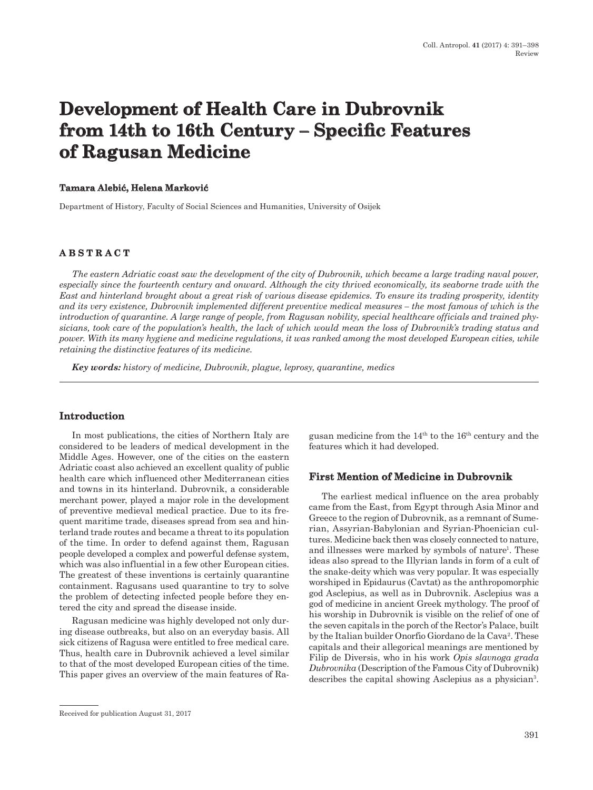# **Development of Health Care in Dubrovnik from 14th to 16th Century – Specific Features of Ragusan Medicine**

#### **Tamara Alebić, Helena Marković**

Department of History, Faculty of Social Sciences and Humanities, University of Osijek

# **ABSTRACT**

*The eastern Adriatic coast saw the development of the city of Dubrovnik, which became a large trading naval power, especially since the fourteenth century and onward. Although the city thrived economically, its seaborne trade with the East and hinterland brought about a great risk of various disease epidemics. To ensure its trading prosperity, identity and its very existence, Dubrovnik implemented different preventive medical measures – the most famous of which is the introduction of quarantine. A large range of people, from Ragusan nobility, special healthcare officials and trained physicians, took care of the population's health, the lack of which would mean the loss of Dubrovnik's trading status and power. With its many hygiene and medicine regulations, it was ranked among the most developed European cities, while retaining the distinctive features of its medicine.*

*Key words: history of medicine, Dubrovnik, plague, leprosy, quarantine, medics*

### **Introduction**

In most publications, the cities of Northern Italy are considered to be leaders of medical development in the Middle Ages. However, one of the cities on the eastern Adriatic coast also achieved an excellent quality of public health care which influenced other Mediterranean cities and towns in its hinterland. Dubrovnik, a considerable merchant power, played a major role in the development of preventive medieval medical practice. Due to its frequent maritime trade, diseases spread from sea and hinterland trade routes and became a threat to its population of the time. In order to defend against them, Ragusan people developed a complex and powerful defense system, which was also influential in a few other European cities. The greatest of these inventions is certainly quarantine containment. Ragusans used quarantine to try to solve the problem of detecting infected people before they entered the city and spread the disease inside.

Ragusan medicine was highly developed not only during disease outbreaks, but also on an everyday basis. All sick citizens of Ragusa were entitled to free medical care. Thus, health care in Dubrovnik achieved a level similar to that of the most developed European cities of the time. This paper gives an overview of the main features of Ragusan medicine from the  $14<sup>th</sup>$  to the  $16<sup>th</sup>$  century and the features which it had developed.

#### **First Mention of Medicine in Dubrovnik**

The earliest medical influence on the area probably came from the East, from Egypt through Asia Minor and Greece to the region of Dubrovnik, as a remnant of Sumerian, Assyrian-Babylonian and Syrian-Phoenician cultures. Medicine back then was closely connected to nature, and illnesses were marked by symbols of nature<sup>1</sup>. These ideas also spread to the Illyrian lands in form of a cult of the snake-deity which was very popular. It was especially worshiped in Epidaurus (Cavtat) as the anthropomorphic god Asclepius, as well as in Dubrovnik. Asclepius was a god of medicine in ancient Greek mythology. The proof of his worship in Dubrovnik is visible on the relief of one of the seven capitals in the porch of the Rector's Palace, built by the Italian builder Onorfio Giordano de la Cava<sup>2</sup>. These capitals and their allegorical meanings are mentioned by Filip de Diversis, who in his work *Opis slavnoga grada Dubrovnika* (Description of the Famous City of Dubrovnik) describes the capital showing Asclepius as a physician3.

Received for publication August 31, 2017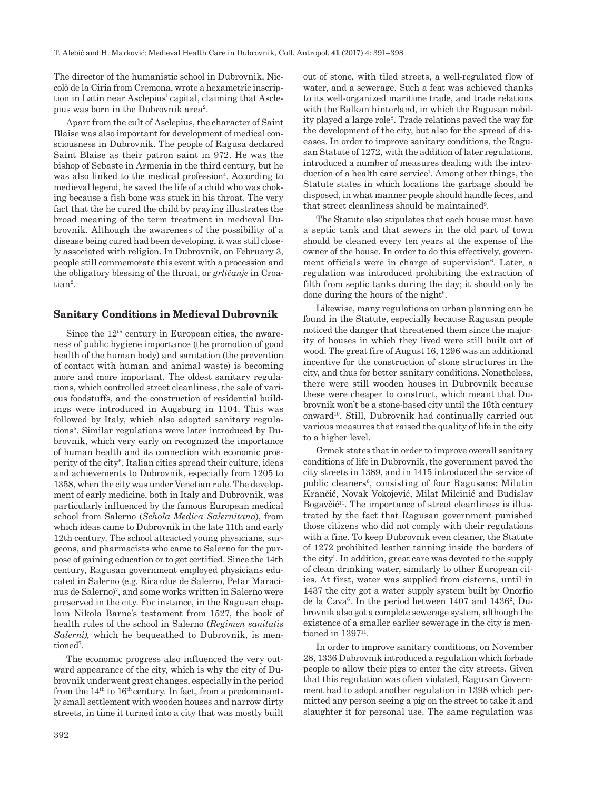The director of the humanistic school in Dubrovnik, Niccolò de la Ciria from Cremona, wrote a hexametric inscription in Latin near Asclepius' capital, claiming that Asclepius was born in the Dubrovnik area2.

Apart from the cult of Asclepius, the character of Saint Blaise was also important for development of medical consciousness in Dubrovnik. The people of Ragusa declared Saint Blaise as their patron saint in 972. He was the bishop of Sebaste in Armenia in the third century, but he was also linked to the medical profession<sup>4</sup>. According to medieval legend, he saved the life of a child who was choking because a fish bone was stuck in his throat. The very fact that the he cured the child by praying illustrates the broad meaning of the term treatment in medieval Dubrovnik. Although the awareness of the possibility of a disease being cured had been developing, it was still closely associated with religion. In Dubrovnik, on February 3, people still commemorate this event with a procession and the obligatory blessing of the throat, or *grličanje* in Croatian2.

### **Sanitary Conditions in Medieval Dubrovnik**

Since the  $12<sup>th</sup>$  century in European cities, the awareness of public hygiene importance (the promotion of good health of the human body) and sanitation (the prevention of contact with human and animal waste) is becoming more and more important. The oldest sanitary regulations, which controlled street cleanliness, the sale of various foodstuffs, and the construction of residential buildings were introduced in Augsburg in 1104. This was followed by Italy, which also adopted sanitary regulations<sup>5</sup>. Similar regulations were later introduced by Dubrovnik, which very early on recognized the importance of human health and its connection with economic prosperity of the city6. Italian cities spread their culture, ideas and achievements to Dubrovnik, especially from 1205 to 1358, when the city was under Venetian rule. The development of early medicine, both in Italy and Dubrovnik, was particularly influenced by the famous European medical school from Salerno (*Schola Medica Salernitana*), from which ideas came to Dubrovnik in the late 11th and early 12th century. The school attracted young physicians, surgeons, and pharmacists who came to Salerno for the purpose of gaining education or to get certified. Since the 14th century, Ragusan government employed physicians educated in Salerno (e.g. Ricardus de Salerno, Petar Maracinus de Salerno)<sup>7</sup>, and some works written in Salerno were preserved in the city. For instance, in the Ragusan chaplain Nikola Barne's testament from 1527, the book of health rules of the school in Salerno (*Regimen sanitatis Salerni),* which he bequeathed to Dubrovnik, is mentioned<sup>7</sup>.

The economic progress also influenced the very outward appearance of the city, which is why the city of Dubrovnik underwent great changes, especially in the period from the  $14<sup>th</sup>$  to  $16<sup>th</sup>$  century. In fact, from a predominantly small settlement with wooden houses and narrow dirty streets, in time it turned into a city that was mostly built out of stone, with tiled streets, a well-regulated flow of water, and a sewerage. Such a feat was achieved thanks to its well-organized maritime trade, and trade relations with the Balkan hinterland, in which the Ragusan nobility played a large role<sup>8</sup>. Trade relations paved the way for the development of the city, but also for the spread of diseases. In order to improve sanitary conditions, the Ragusan Statute of 1272, with the addition of later regulations, introduced a number of measures dealing with the introduction of a health care service<sup>1</sup>. Among other things, the Statute states in which locations the garbage should be disposed, in what manner people should handle feces, and that street cleanliness should be maintained<sup>9</sup>.

The Statute also stipulates that each house must have a septic tank and that sewers in the old part of town should be cleaned every ten years at the expense of the owner of the house. In order to do this effectively, government officials were in charge of supervision<sup>6</sup>. Later, a regulation was introduced prohibiting the extraction of filth from septic tanks during the day; it should only be done during the hours of the night<sup>9</sup>.

Likewise, many regulations on urban planning can be found in the Statute, especially because Ragusan people noticed the danger that threatened them since the majority of houses in which they lived were still built out of wood. The great fire of August 16, 1296 was an additional incentive for the construction of stone structures in the city, and thus for better sanitary conditions. Nonetheless, there were still wooden houses in Dubrovnik because these were cheaper to construct, which meant that Dubrovnik won't be a stone-based city until the 16th century onward<sup>10</sup>. Still, Dubrovnik had continually carried out various measures that raised the quality of life in the city to a higher level.

Grmek states that in order to improve overall sanitary conditions of life in Dubrovnik, the government paved the city streets in 1389, and in 1415 introduced the service of public cleaners<sup>6</sup>, consisting of four Ragusans: Milutin Krančić, Novak Vokojević, Milat Milcinić and Budislav Bogavčić11. The importance of street cleanliness is illustrated by the fact that Ragusan government punished those citizens who did not comply with their regulations with a fine. To keep Dubrovnik even cleaner, the Statute of 1272 prohibited leather tanning inside the borders of the city<sup>1</sup>. In addition, great care was devoted to the supply of clean drinking water, similarly to other European cities. At first, water was supplied from cisterns, until in 1437 the city got a water supply system built by Onorfio de la Cava $6$ . In the period between 1407 and 1436<sup>2</sup>, Dubrovnik also got a complete sewerage system, although the existence of a smaller earlier sewerage in the city is mentioned in  $1397$ <sup>11</sup>.

In order to improve sanitary conditions, on November 28, 1336 Dubrovnik introduced a regulation which forbade people to allow their pigs to enter the city streets. Given that this regulation was often violated, Ragusan Government had to adopt another regulation in 1398 which permitted any person seeing a pig on the street to take it and slaughter it for personal use. The same regulation was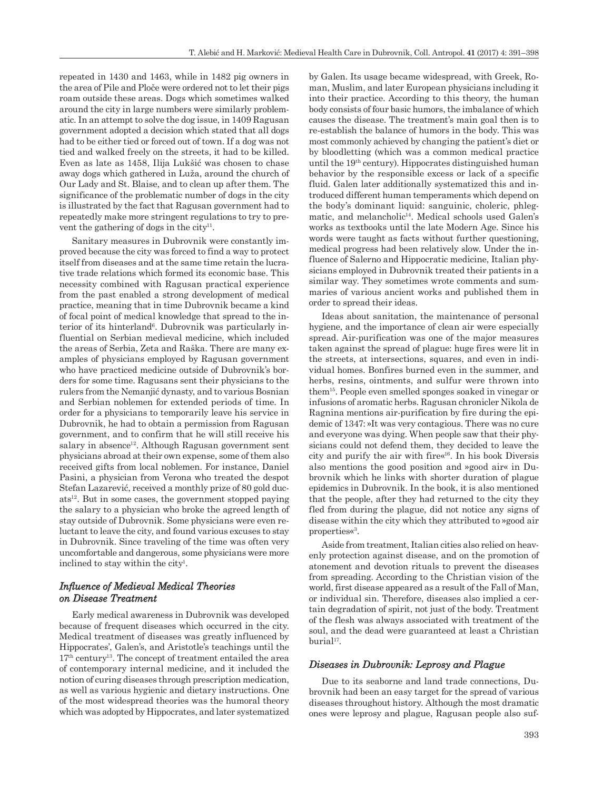repeated in 1430 and 1463, while in 1482 pig owners in the area of Pile and Ploče were ordered not to let their pigs roam outside these areas. Dogs which sometimes walked around the city in large numbers were similarly problematic. In an attempt to solve the dog issue, in 1409 Ragusan government adopted a decision which stated that all dogs had to be either tied or forced out of town. If a dog was not tied and walked freely on the streets, it had to be killed. Even as late as 1458, Ilija Lukšić was chosen to chase away dogs which gathered in Luža, around the church of Our Lady and St. Blaise, and to clean up after them. The significance of the problematic number of dogs in the city is illustrated by the fact that Ragusan government had to repeatedly make more stringent regulations to try to prevent the gathering of dogs in the city<sup>11</sup>.

Sanitary measures in Dubrovnik were constantly improved because the city was forced to find a way to protect itself from diseases and at the same time retain the lucrative trade relations which formed its economic base. This necessity combined with Ragusan practical experience from the past enabled a strong development of medical practice, meaning that in time Dubrovnik became a kind of focal point of medical knowledge that spread to the interior of its hinterland<sup>6</sup>. Dubrovnik was particularly influential on Serbian medieval medicine, which included the areas of Serbia, Zeta and Raška. There are many examples of physicians employed by Ragusan government who have practiced medicine outside of Dubrovnik's borders for some time. Ragusans sent their physicians to the rulers from the Nemanjić dynasty, and to various Bosnian and Serbian noblemen for extended periods of time. In order for a physicians to temporarily leave his service in Dubrovnik, he had to obtain a permission from Ragusan government, and to confirm that he will still receive his  $salary$  in absence<sup>12</sup>. Although Ragusan government sent physicians abroad at their own expense, some of them also received gifts from local noblemen. For instance, Daniel Pasini, a physician from Verona who treated the despot Stefan Lazarević, received a monthly prize of 80 gold duc $ats<sup>12</sup>$ . But in some cases, the government stopped paying the salary to a physician who broke the agreed length of stay outside of Dubrovnik. Some physicians were even reluctant to leave the city, and found various excuses to stay in Dubrovnik. Since traveling of the time was often very uncomfortable and dangerous, some physicians were more inclined to stay within the city<sup>1</sup>.

## *Influence of Medieval Medical Theories on Disease Treatment*

Early medical awareness in Dubrovnik was developed because of frequent diseases which occurred in the city. Medical treatment of diseases was greatly influenced by Hippocrates', Galen's, and Aristotle's teachings until the  $17<sup>th</sup>$  century<sup>13</sup>. The concept of treatment entailed the area of contemporary internal medicine, and it included the notion of curing diseases through prescription medication, as well as various hygienic and dietary instructions. One of the most widespread theories was the humoral theory which was adopted by Hippocrates, and later systematized by Galen. Its usage became widespread, with Greek, Roman, Muslim, and later European physicians including it into their practice. According to this theory, the human body consists of four basic humors, the imbalance of which causes the disease. The treatment's main goal then is to re-establish the balance of humors in the body. This was most commonly achieved by changing the patient's diet or by bloodletting (which was a common medical practice until the 19th century). Hippocrates distinguished human behavior by the responsible excess or lack of a specific fluid. Galen later additionally systematized this and introduced different human temperaments which depend on the body's dominant liquid: sanguinic, choleric, phlegmatic, and melancholic<sup>14</sup>. Medical schools used Galen's works as textbooks until the late Modern Age. Since his words were taught as facts without further questioning, medical progress had been relatively slow. Under the influence of Salerno and Hippocratic medicine, Italian physicians employed in Dubrovnik treated their patients in a similar way. They sometimes wrote comments and summaries of various ancient works and published them in order to spread their ideas.

Ideas about sanitation, the maintenance of personal hygiene, and the importance of clean air were especially spread. Air-purification was one of the major measures taken against the spread of plague: huge fires were lit in the streets, at intersections, squares, and even in individual homes. Bonfires burned even in the summer, and herbs, resins, ointments, and sulfur were thrown into them15. People even smelled sponges soaked in vinegar or infusions of aromatic herbs. Ragusan chronicler Nikola de Ragnina mentions air-purification by fire during the epidemic of 1347: »It was very contagious. There was no cure and everyone was dying. When people saw that their physicians could not defend them, they decided to leave the city and purify the air with fire«16. In his book Diversis also mentions the good position and »good air« in Dubrovnik which he links with shorter duration of plague epidemics in Dubrovnik. In the book, it is also mentioned that the people, after they had returned to the city they fled from during the plague, did not notice any signs of disease within the city which they attributed to »good air properties«3.

Aside from treatment, Italian cities also relied on heavenly protection against disease, and on the promotion of atonement and devotion rituals to prevent the diseases from spreading. According to the Christian vision of the world, first disease appeared as a result of the Fall of Man, or individual sin. Therefore, diseases also implied a certain degradation of spirit, not just of the body. Treatment of the flesh was always associated with treatment of the soul, and the dead were guaranteed at least a Christian burial<sup>17</sup>.

#### *Diseases in Dubrovnik: Leprosy and Plague*

Due to its seaborne and land trade connections, Dubrovnik had been an easy target for the spread of various diseases throughout history. Although the most dramatic ones were leprosy and plague, Ragusan people also suf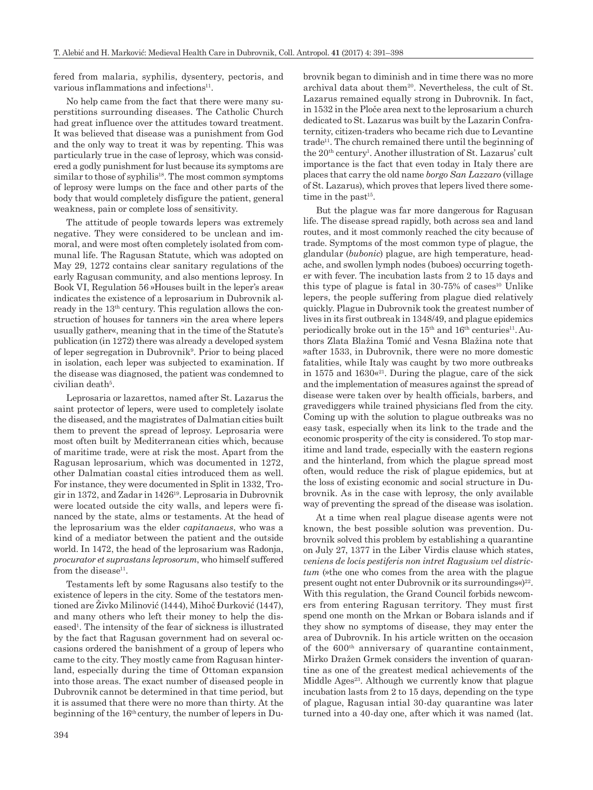fered from malaria, syphilis, dysentery, pectoris, and various inflammations and infections<sup>11</sup>.

No help came from the fact that there were many superstitions surrounding diseases. The Catholic Church had great influence over the attitudes toward treatment. It was believed that disease was a punishment from God and the only way to treat it was by repenting. This was particularly true in the case of leprosy, which was considered a godly punishment for lust because its symptoms are similar to those of syphilis<sup>18</sup>. The most common symptoms of leprosy were lumps on the face and other parts of the body that would completely disfigure the patient, general weakness, pain or complete loss of sensitivity.

The attitude of people towards lepers was extremely negative. They were considered to be unclean and immoral, and were most often completely isolated from communal life. The Ragusan Statute, which was adopted on May 29, 1272 contains clear sanitary regulations of the early Ragusan community, and also mentions leprosy. In Book VI, Regulation 56 »Houses built in the leper's area« indicates the existence of a leprosarium in Dubrovnik already in the 13th century. This regulation allows the construction of houses for tanners »in the area where lepers usually gather«, meaning that in the time of the Statute's publication (in 1272) there was already a developed system of leper segregation in Dubrovnik<sup>9</sup>. Prior to being placed in isolation, each leper was subjected to examination. If the disease was diagnosed, the patient was condemned to civilian death<sup>5</sup>.

Leprosaria or lazarettos, named after St. Lazarus the saint protector of lepers, were used to completely isolate the diseased, and the magistrates of Dalmatian cities built them to prevent the spread of leprosy. Leprosaria were most often built by Mediterranean cities which, because of maritime trade, were at risk the most. Apart from the Ragusan leprosarium, which was documented in 1272, other Dalmatian coastal cities introduced them as well. For instance, they were documented in Split in 1332, Trogir in 1372, and Zadar in 142619. Leprosaria in Dubrovnik were located outside the city walls, and lepers were financed by the state, alms or testaments. At the head of the leprosarium was the elder *capitanaeus*, who was a kind of a mediator between the patient and the outside world. In 1472, the head of the leprosarium was Radonja, *procurator et suprastans leprosorum*, who himself suffered from the disease $11$ .

Testaments left by some Ragusans also testify to the existence of lepers in the city. Some of the testators mentioned are Živko Milinović (1444), Mihoč Đurković (1447), and many others who left their money to help the diseased1 . The intensity of the fear of sickness is illustrated by the fact that Ragusan government had on several occasions ordered the banishment of a group of lepers who came to the city. They mostly came from Ragusan hinterland, especially during the time of Ottoman expansion into those areas. The exact number of diseased people in Dubrovnik cannot be determined in that time period, but it is assumed that there were no more than thirty. At the beginning of the 16th century, the number of lepers in Dubrovnik began to diminish and in time there was no more archival data about them<sup>20</sup>. Nevertheless, the cult of St. Lazarus remained equally strong in Dubrovnik. In fact, in 1532 in the Ploče area next to the leprosarium a church dedicated to St. Lazarus was built by the Lazarin Confraternity, citizen-traders who became rich due to Levantine  $trade<sup>11</sup>$ . The church remained there until the beginning of the 20th century1 . Another illustration of St. Lazarus' cult importance is the fact that even today in Italy there are places that carry the old name *borgo San Lazzaro* (village of St. Lazarus), which proves that lepers lived there sometime in the past $15$ .

But the plague was far more dangerous for Ragusan life. The disease spread rapidly, both across sea and land routes, and it most commonly reached the city because of trade. Symptoms of the most common type of plague, the glandular (*bubonic*) plague, are high temperature, headache, and swollen lymph nodes (buboes) occurring together with fever. The incubation lasts from 2 to 15 days and this type of plague is fatal in  $30-75\%$  of cases<sup>10</sup> Unlike lepers, the people suffering from plague died relatively quickly. Plague in Dubrovnik took the greatest number of lives in its first outbreak in 1348/49, and plague epidemics periodically broke out in the  $15<sup>th</sup>$  and  $16<sup>th</sup>$  centuries<sup>11</sup>. Authors Zlata Blažina Tomić and Vesna Blažina note that »after 1533, in Dubrovnik, there were no more domestic fatalities, while Italy was caught by two more outbreaks in 1575 and  $1630<sup>{a</sup>21}$ . During the plague, care of the sick and the implementation of measures against the spread of disease were taken over by health officials, barbers, and gravediggers while trained physicians fled from the city. Coming up with the solution to plague outbreaks was no easy task, especially when its link to the trade and the economic prosperity of the city is considered. To stop maritime and land trade, especially with the eastern regions and the hinterland, from which the plague spread most often, would reduce the risk of plague epidemics, but at the loss of existing economic and social structure in Dubrovnik. As in the case with leprosy, the only available way of preventing the spread of the disease was isolation.

At a time when real plague disease agents were not known, the best possible solution was prevention. Dubrovnik solved this problem by establishing a quarantine on July 27, 1377 in the Liber Virdis clause which states, *veniens de locis pestiferis non intret Ragusium vel districtum* (»the one who comes from the area with the plague present ought not enter Dubrovnik or its surroundings«)<sup>22</sup>. With this regulation, the Grand Council forbids newcomers from entering Ragusan territory. They must first spend one month on the Mrkan or Bobara islands and if they show no symptoms of disease, they may enter the area of Dubrovnik. In his article written on the occasion of the 600th anniversary of quarantine containment, Mirko Dražen Grmek considers the invention of quarantine as one of the greatest medical achievements of the Middle Ages<sup>23</sup>. Although we currently know that plague incubation lasts from 2 to 15 days, depending on the type of plague, Ragusan intial 30-day quarantine was later turned into a 40-day one, after which it was named (lat.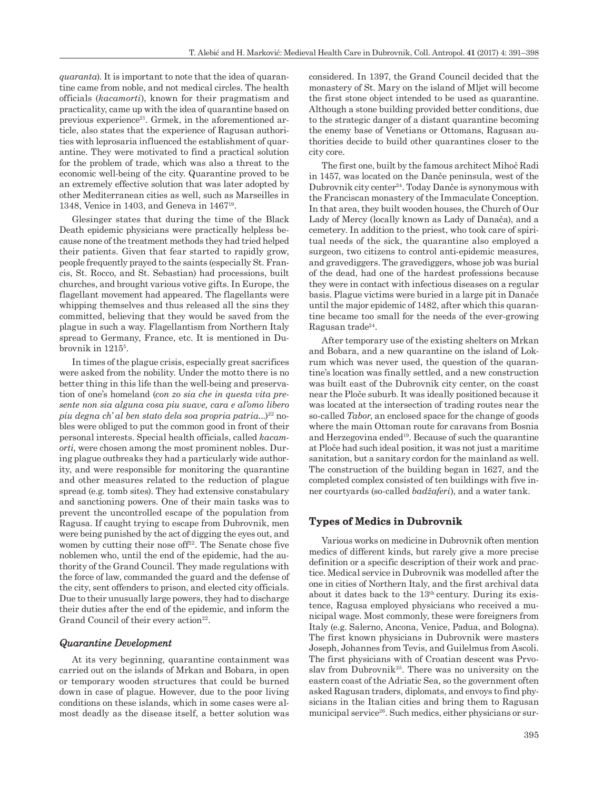*quaranta*). It is important to note that the idea of quarantine came from noble, and not medical circles. The health officials (*kacamorti*), known for their pragmatism and practicality, came up with the idea of quarantine based on previous experience<sup>21</sup>. Grmek, in the aforementioned article, also states that the experience of Ragusan authorities with leprosaria influenced the establishment of quarantine. They were motivated to find a practical solution for the problem of trade, which was also a threat to the economic well-being of the city. Quarantine proved to be an extremely effective solution that was later adopted by other Mediterranean cities as well, such as Marseilles in 1348, Venice in 1403, and Geneva in 146719.

Glesinger states that during the time of the Black Death epidemic physicians were practically helpless because none of the treatment methods they had tried helped their patients. Given that fear started to rapidly grow, people frequently prayed to the saints (especially St. Francis, St. Rocco, and St. Sebastian) had processions, built churches, and brought various votive gifts. In Europe, the flagellant movement had appeared. The flagellants were whipping themselves and thus released all the sins they committed, believing that they would be saved from the plague in such a way. Flagellantism from Northern Italy spread to Germany, France, etc. It is mentioned in Dubrovnik in 12155 .

In times of the plague crisis, especially great sacrifices were asked from the nobility. Under the motto there is no better thing in this life than the well-being and preservation of one's homeland (*con zo sia che in questa vita presente non sia alguna cosa piu suave, cara e al'omo libero piu degna ch' al ben stato dela soa propria patria...*)<sup>22</sup> nobles were obliged to put the common good in front of their personal interests. Special health officials, called *kacamorti,* were chosen among the most prominent nobles. During plague outbreaks they had a particularly wide authority, and were responsible for monitoring the quarantine and other measures related to the reduction of plague spread (e.g. tomb sites). They had extensive constabulary and sanctioning powers. One of their main tasks was to prevent the uncontrolled escape of the population from Ragusa. If caught trying to escape from Dubrovnik, men were being punished by the act of digging the eyes out, and women by cutting their nose of  $f^{22}$ . The Senate chose five noblemen who, until the end of the epidemic, had the authority of the Grand Council. They made regulations with the force of law, commanded the guard and the defense of the city, sent offenders to prison, and elected city officials. Due to their unusually large powers, they had to discharge their duties after the end of the epidemic, and inform the Grand Council of their every action<sup>22</sup>.

### *Quarantine Development*

At its very beginning, quarantine containment was carried out on the islands of Mrkan and Bobara, in open or temporary wooden structures that could be burned down in case of plague. However, due to the poor living conditions on these islands, which in some cases were almost deadly as the disease itself, a better solution was considered. In 1397, the Grand Council decided that the monastery of St. Mary on the island of Mljet will become the first stone object intended to be used as quarantine. Although a stone building provided better conditions, due to the strategic danger of a distant quarantine becoming the enemy base of Venetians or Ottomans, Ragusan authorities decide to build other quarantines closer to the city core.

The first one, built by the famous architect Mihoč Radi in 1457, was located on the Danče peninsula, west of the Dubrovnik city center24. Today Danče is synonymous with the Franciscan monastery of the Immaculate Conception. In that area, they built wooden houses, the Church of Our Lady of Mercy (locally known as Lady of Danača), and a cemetery. In addition to the priest, who took care of spiritual needs of the sick, the quarantine also employed a surgeon, two citizens to control anti-epidemic measures, and gravediggers. The gravediggers, whose job was burial of the dead, had one of the hardest professions because they were in contact with infectious diseases on a regular basis. Plague victims were buried in a large pit in Danače until the major epidemic of 1482, after which this quarantine became too small for the needs of the ever-growing Ragusan trade<sup>24</sup>.

After temporary use of the existing shelters on Mrkan and Bobara, and a new quarantine on the island of Lokrum which was never used, the question of the quarantine's location was finally settled, and a new construction was built east of the Dubrovnik city center, on the coast near the Ploče suburb. It was ideally positioned because it was located at the intersection of trading routes near the so-called *Tabor*, an enclosed space for the change of goods where the main Ottoman route for caravans from Bosnia and Herzegovina ended19. Because of such the quarantine at Ploče had such ideal position, it was not just a maritime sanitation, but a sanitary cordon for the mainland as well. The construction of the building began in 1627, and the completed complex consisted of ten buildings with five inner courtyards (so-called *badžaferi*), and a water tank.

## **Types of Medics in Dubrovnik**

Various works on medicine in Dubrovnik often mention medics of different kinds, but rarely give a more precise definition or a specific description of their work and practice. Medical service in Dubrovnik was modelled after the one in cities of Northern Italy, and the first archival data about it dates back to the 13th century. During its existence, Ragusa employed physicians who received a municipal wage. Most commonly, these were foreigners from Italy (e.g. Salerno, Ancona, Venice, Padua, and Bologna). The first known physicians in Dubrovnik were masters Joseph, Johannes from Tevis, and Guilelmus from Ascoli. The first physicians with of Croatian descent was Prvoslav from Dubrovnik<sup>25</sup>. There was no university on the eastern coast of the Adriatic Sea, so the government often asked Ragusan traders, diplomats, and envoys to find physicians in the Italian cities and bring them to Ragusan municipal service<sup>26</sup>. Such medics, either physicians or sur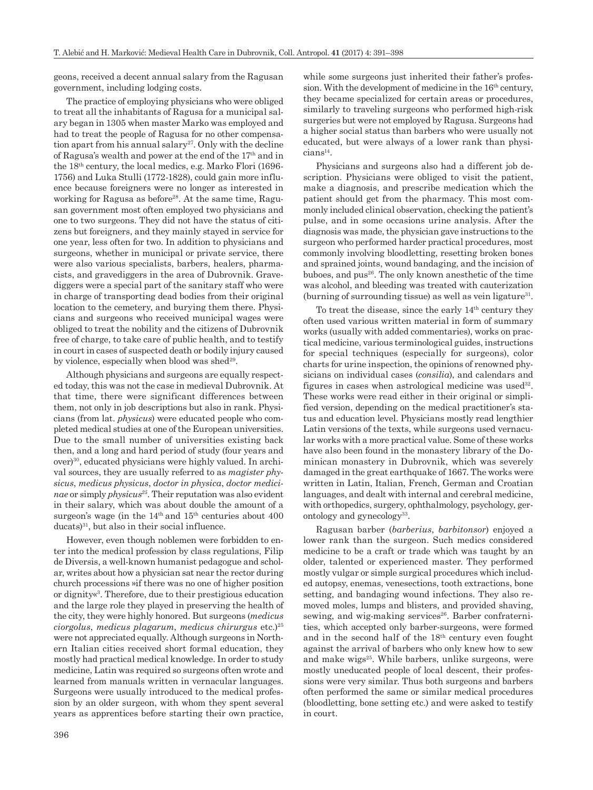geons, received a decent annual salary from the Ragusan government, including lodging costs.

The practice of employing physicians who were obliged to treat all the inhabitants of Ragusa for a municipal salary began in 1305 when master Marko was employed and had to treat the people of Ragusa for no other compensation apart from his annual salary<sup>27</sup>. Only with the decline of Ragusa's wealth and power at the end of the 17th and in the 18th century, the local medics, e.g. Marko Flori (1696- 1756) and Luka Stulli (1772-1828), could gain more influence because foreigners were no longer as interested in working for Ragusa as before<sup>28</sup>. At the same time, Ragusan government most often employed two physicians and one to two surgeons. They did not have the status of citizens but foreigners, and they mainly stayed in service for one year, less often for two. In addition to physicians and surgeons, whether in municipal or private service, there were also various specialists, barbers, healers, pharmacists, and gravediggers in the area of Dubrovnik. Gravediggers were a special part of the sanitary staff who were in charge of transporting dead bodies from their original location to the cemetery, and burying them there. Physicians and surgeons who received municipal wages were obliged to treat the nobility and the citizens of Dubrovnik free of charge, to take care of public health, and to testify in court in cases of suspected death or bodily injury caused by violence, especially when blood was shed $29$ .

Although physicians and surgeons are equally respected today, this was not the case in medieval Dubrovnik. At that time, there were significant differences between them, not only in job descriptions but also in rank. Physicians (from lat. *physicus*) were educated people who completed medical studies at one of the European universities. Due to the small number of universities existing back then, and a long and hard period of study (four years and over)30, educated physicians were highly valued. In archival sources, they are usually referred to as *magister physicus*, *medicus physicus*, *doctor in physica*, *doctor medicinae* or simply *physicus*<sup>25</sup>. Their reputation was also evident in their salary, which was about double the amount of a surgeon's wage (in the  $14<sup>th</sup>$  and  $15<sup>th</sup>$  centuries about 400 ducats)<sup>31</sup>, but also in their social influence.

However, even though noblemen were forbidden to enter into the medical profession by class regulations, Filip de Diversis, a well-known humanist pedagogue and scholar, writes about how a physician sat near the rector during church processions »if there was no one of higher position or dignity«3. Therefore, due to their prestigious education and the large role they played in preserving the health of the city, they were highly honored. But surgeons (*medicus ciorgolus*, *medicus plagarum*, *medicus chirurgus* etc.)25 were not appreciated equally. Although surgeons in Northern Italian cities received short formal education, they mostly had practical medical knowledge. In order to study medicine, Latin was required so surgeons often wrote and learned from manuals written in vernacular languages. Surgeons were usually introduced to the medical profession by an older surgeon, with whom they spent several years as apprentices before starting their own practice, while some surgeons just inherited their father's profession. With the development of medicine in the 16<sup>th</sup> century, they became specialized for certain areas or procedures, similarly to traveling surgeons who performed high-risk surgeries but were not employed by Ragusa. Surgeons had a higher social status than barbers who were usually not educated, but were always of a lower rank than physicians<sup>14</sup>.

Physicians and surgeons also had a different job description. Physicians were obliged to visit the patient, make a diagnosis, and prescribe medication which the patient should get from the pharmacy. This most commonly included clinical observation, checking the patient's pulse, and in some occasions urine analysis. After the diagnosis was made, the physician gave instructions to the surgeon who performed harder practical procedures, most commonly involving bloodletting, resetting broken bones and sprained joints, wound bandaging, and the incision of buboes, and pus<sup>26</sup>. The only known anesthetic of the time was alcohol, and bleeding was treated with cauterization (burning of surrounding tissue) as well as vein ligature<sup>31</sup>.

To treat the disease, since the early 14th century they often used various written material in form of summary works (usually with added commentaries), works on practical medicine, various terminological guides, instructions for special techniques (especially for surgeons), color charts for urine inspection, the opinions of renowned physicians on individual cases (*consilia*), and calendars and figures in cases when astrological medicine was used $32$ . These works were read either in their original or simplified version, depending on the medical practitioner's status and education level. Physicians mostly read lengthier Latin versions of the texts, while surgeons used vernacular works with a more practical value. Some of these works have also been found in the monastery library of the Dominican monastery in Dubrovnik, which was severely damaged in the great earthquake of 1667. The works were written in Latin, Italian, French, German and Croatian languages, and dealt with internal and cerebral medicine, with orthopedics, surgery, ophthalmology, psychology, gerontology and gynecology<sup>33</sup>.

Ragusan barber (*barberius*, *barbitonsor*) enjoyed a lower rank than the surgeon. Such medics considered medicine to be a craft or trade which was taught by an older, talented or experienced master. They performed mostly vulgar or simple surgical procedures which included autopsy, enemas, venesections, tooth extractions, bone setting, and bandaging wound infections. They also removed moles, lumps and blisters, and provided shaving, sewing, and wig-making services<sup>26</sup>. Barber confraternities, which accepted only barber-surgeons, were formed and in the second half of the 18th century even fought against the arrival of barbers who only knew how to sew and make wigs<sup>25</sup>. While barbers, unlike surgeons, were mostly uneducated people of local descent, their professions were very similar. Thus both surgeons and barbers often performed the same or similar medical procedures (bloodletting, bone setting etc.) and were asked to testify in court.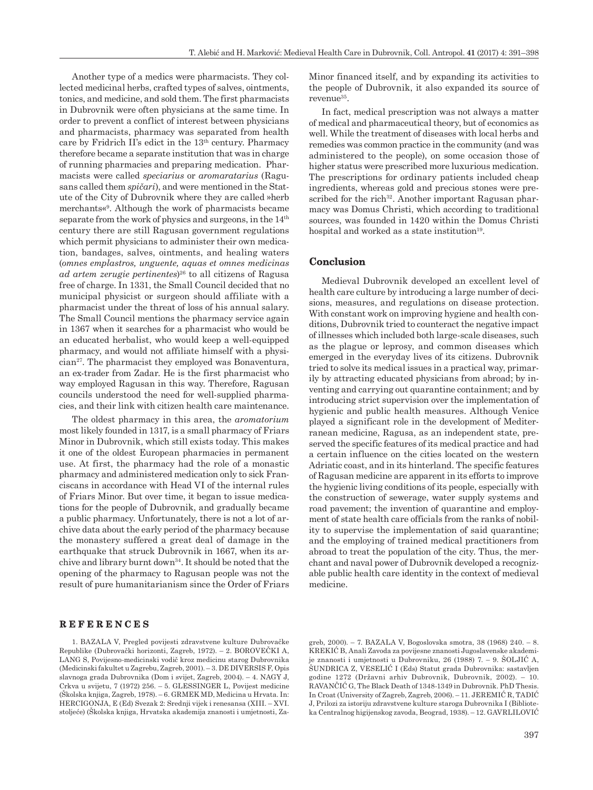Another type of a medics were pharmacists. They collected medicinal herbs, crafted types of salves, ointments, tonics, and medicine, and sold them. The first pharmacists in Dubrovnik were often physicians at the same time. In order to prevent a conflict of interest between physicians and pharmacists, pharmacy was separated from health care by Fridrich II's edict in the 13th century. Pharmacy therefore became a separate institution that was in charge of running pharmacies and preparing medication. Pharmacists were called *speciarius* or *aromaratarius* (Ragusans called them *spičari*), and were mentioned in the Statute of the City of Dubrovnik where they are called »herb merchants«9 . Although the work of pharmacists became separate from the work of physics and surgeons, in the 14<sup>th</sup> century there are still Ragusan government regulations which permit physicians to administer their own medication, bandages, salves, ointments, and healing waters (*omnes emplastros, unguente, aquas et omnes medicinas ad artem zerugie pertinentes*) 26 to all citizens of Ragusa free of charge. In 1331, the Small Council decided that no municipal physicist or surgeon should affiliate with a pharmacist under the threat of loss of his annual salary. The Small Council mentions the pharmacy service again in 1367 when it searches for a pharmacist who would be an educated herbalist, who would keep a well-equipped pharmacy, and would not affiliate himself with a physi $cian<sup>27</sup>$ . The pharmacist they employed was Bonaventura, an ex-trader from Zadar. He is the first pharmacist who way employed Ragusan in this way. Therefore, Ragusan councils understood the need for well-supplied pharmacies, and their link with citizen health care maintenance.

The oldest pharmacy in this area, the *aromatorium* most likely founded in 1317, is a small pharmacy of Friars Minor in Dubrovnik, which still exists today. This makes it one of the oldest European pharmacies in permanent use. At first, the pharmacy had the role of a monastic pharmacy and administered medication only to sick Franciscans in accordance with Head VI of the internal rules of Friars Minor. But over time, it began to issue medications for the people of Dubrovnik, and gradually became a public pharmacy. Unfortunately, there is not a lot of archive data about the early period of the pharmacy because the monastery suffered a great deal of damage in the earthquake that struck Dubrovnik in 1667, when its archive and library burnt down34. It should be noted that the opening of the pharmacy to Ragusan people was not the result of pure humanitarianism since the Order of Friars Minor financed itself, and by expanding its activities to the people of Dubrovnik, it also expanded its source of revenue<sup>35</sup>.

In fact, medical prescription was not always a matter of medical and pharmaceutical theory, but of economics as well. While the treatment of diseases with local herbs and remedies was common practice in the community (and was administered to the people), on some occasion those of higher status were prescribed more luxurious medication. The prescriptions for ordinary patients included cheap ingredients, whereas gold and precious stones were prescribed for the rich<sup>32</sup>. Another important Ragusan pharmacy was Domus Christi, which according to traditional sources, was founded in 1420 within the Domus Christi hospital and worked as a state institution<sup>19</sup>.

#### **Conclusion**

Medieval Dubrovnik developed an excellent level of health care culture by introducing a large number of decisions, measures, and regulations on disease protection. With constant work on improving hygiene and health conditions, Dubrovnik tried to counteract the negative impact of illnesses which included both large-scale diseases, such as the plague or leprosy, and common diseases which emerged in the everyday lives of its citizens. Dubrovnik tried to solve its medical issues in a practical way, primarily by attracting educated physicians from abroad; by inventing and carrying out quarantine containment; and by introducing strict supervision over the implementation of hygienic and public health measures. Although Venice played a significant role in the development of Mediterranean medicine, Ragusa, as an independent state, preserved the specific features of its medical practice and had a certain influence on the cities located on the western Adriatic coast, and in its hinterland. The specific features of Ragusan medicine are apparent in its efforts to improve the hygienic living conditions of its people, especially with the construction of sewerage, water supply systems and road pavement; the invention of quarantine and employment of state health care officials from the ranks of nobility to supervise the implementation of said quarantine; and the employing of trained medical practitioners from abroad to treat the population of the city. Thus, the merchant and naval power of Dubrovnik developed a recognizable public health care identity in the context of medieval medicine.

#### **REFERENCES**

1. BAZALA V, Pregled povijesti zdravstvene kulture Dubrovačke Republike (Dubrovački horizonti, Zagreb, 1972). – 2. BOROVEČKI A, LANG S, Povijesno-medicinski vodič kroz medicinu starog Dubrovnika (Medicinski fakultet u Zagrebu, Zagreb, 2001). – 3. DE DIVERSIS F, Opis slavnoga grada Dubrovnika (Dom i svijet, Zagreb, 2004). – 4. NAGY J, Crkva u svijetu, 7 (1972) 256. – 5. GLESSINGER L, Povijest medicine (Školska knjiga, Zagreb, 1978). – 6. GRMEK MD, Medicina u Hrvata. In: HERCIGONJA, E (Ed) Svezak 2: Srednji vijek i renesansa (XIII. – XVI. stoljeće) (Školska knjiga, Hrvatska akademija znanosti i umjetnosti, Zagreb, 2000). – 7. BAZALA V, Bogoslovska smotra, 38 (1968) 240. – 8. KREKIĆ B, Anali Zavoda za povijesne znanosti Jugoslavenske akademije znanosti i umjetnosti u Dubrovniku, 26 (1988) 7. – 9. ŠOLJIĆ A, ŠUNDRICA Z, VESELIĆ I (Eds) Statut grada Dubrovnika: sastavljen godine 1272 (Državni arhiv Dubrovnik, Dubrovnik, 2002). – 10. RAVANČIĆ G, The Black Death of 1348-1349 in Dubrovnik. PhD Thesis. In Croat (University of Zagreb, Zagreb, 2006). – 11. JEREMIĆ R, TADIĆ J, Prilozi za istoriju zdravstvene kulture staroga Dubrovnika I (Biblioteka Centralnog higijenskog zavoda, Beograd, 1938). – 12. GAVRLILOVIĆ